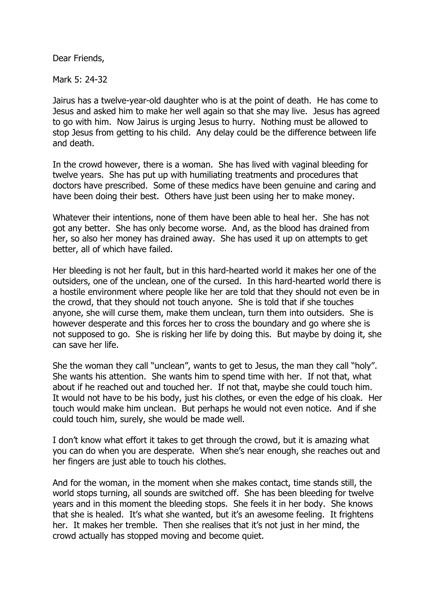Dear Friends,

Mark 5: 24-32

Jairus has a twelve-year-old daughter who is at the point of death. He has come to Jesus and asked him to make her well again so that she may live. Jesus has agreed to go with him. Now Jairus is urging Jesus to hurry. Nothing must be allowed to stop Jesus from getting to his child. Any delay could be the difference between life and death.

In the crowd however, there is a woman. She has lived with vaginal bleeding for twelve years. She has put up with humiliating treatments and procedures that doctors have prescribed. Some of these medics have been genuine and caring and have been doing their best. Others have just been using her to make money.

Whatever their intentions, none of them have been able to heal her. She has not got any better. She has only become worse. And, as the blood has drained from her, so also her money has drained away. She has used it up on attempts to get better, all of which have failed.

Her bleeding is not her fault, but in this hard-hearted world it makes her one of the outsiders, one of the unclean, one of the cursed. In this hard-hearted world there is a hostile environment where people like her are told that they should not even be in the crowd, that they should not touch anyone. She is told that if she touches anyone, she will curse them, make them unclean, turn them into outsiders. She is however desperate and this forces her to cross the boundary and go where she is not supposed to go. She is risking her life by doing this. But maybe by doing it, she can save her life.

She the woman they call "unclean", wants to get to Jesus, the man they call "holy". She wants his attention. She wants him to spend time with her. If not that, what about if he reached out and touched her. If not that, maybe she could touch him. It would not have to be his body, just his clothes, or even the edge of his cloak. Her touch would make him unclean. But perhaps he would not even notice. And if she could touch him, surely, she would be made well.

I don't know what effort it takes to get through the crowd, but it is amazing what you can do when you are desperate. When she's near enough, she reaches out and her fingers are just able to touch his clothes.

And for the woman, in the moment when she makes contact, time stands still, the world stops turning, all sounds are switched off. She has been bleeding for twelve years and in this moment the bleeding stops. She feels it in her body. She knows that she is healed. It's what she wanted, but it's an awesome feeling. It frightens her. It makes her tremble. Then she realises that it's not just in her mind, the crowd actually has stopped moving and become quiet.